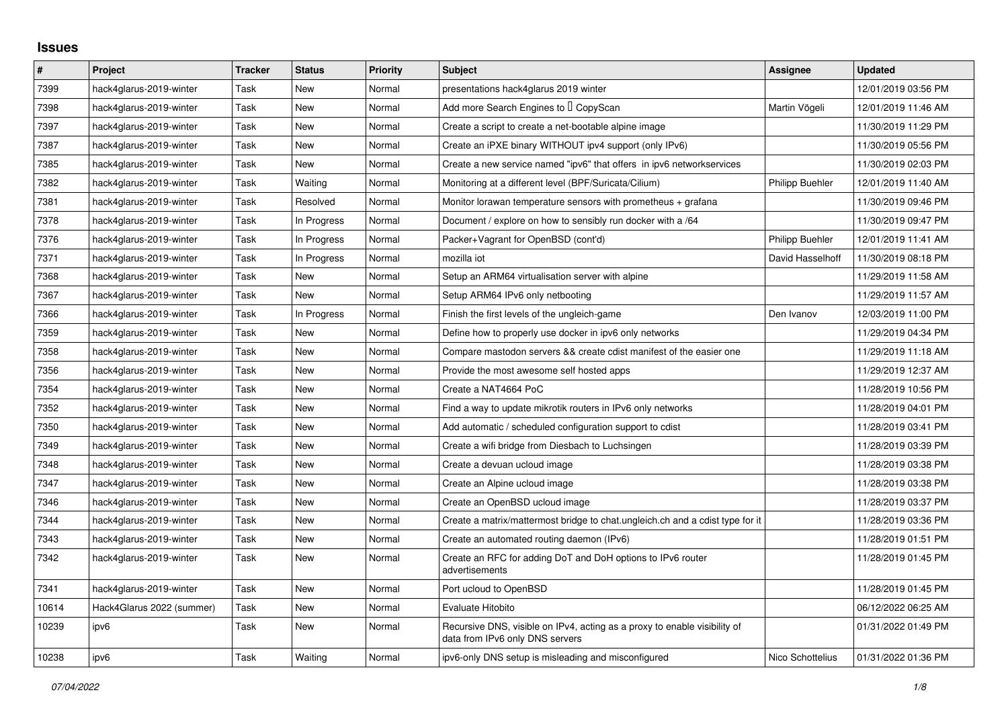## **Issues**

| $\vert$ # | Project                   | <b>Tracker</b> | <b>Status</b> | <b>Priority</b> | <b>Subject</b>                                                                                               | Assignee               | <b>Updated</b>      |
|-----------|---------------------------|----------------|---------------|-----------------|--------------------------------------------------------------------------------------------------------------|------------------------|---------------------|
| 7399      | hack4glarus-2019-winter   | Task           | New           | Normal          | presentations hack4glarus 2019 winter                                                                        |                        | 12/01/2019 03:56 PM |
| 7398      | hack4glarus-2019-winter   | Task           | <b>New</b>    | Normal          | Add more Search Engines to I CopyScan                                                                        | Martin Vögeli          | 12/01/2019 11:46 AM |
| 7397      | hack4glarus-2019-winter   | Task           | New           | Normal          | Create a script to create a net-bootable alpine image                                                        |                        | 11/30/2019 11:29 PM |
| 7387      | hack4glarus-2019-winter   | Task           | New           | Normal          | Create an iPXE binary WITHOUT ipv4 support (only IPv6)                                                       |                        | 11/30/2019 05:56 PM |
| 7385      | hack4glarus-2019-winter   | Task           | New           | Normal          | Create a new service named "ipv6" that offers in ipv6 networkservices                                        |                        | 11/30/2019 02:03 PM |
| 7382      | hack4glarus-2019-winter   | Task           | Waiting       | Normal          | Monitoring at a different level (BPF/Suricata/Cilium)                                                        | <b>Philipp Buehler</b> | 12/01/2019 11:40 AM |
| 7381      | hack4glarus-2019-winter   | Task           | Resolved      | Normal          | Monitor lorawan temperature sensors with prometheus $+$ grafana                                              |                        | 11/30/2019 09:46 PM |
| 7378      | hack4glarus-2019-winter   | Task           | In Progress   | Normal          | Document / explore on how to sensibly run docker with a /64                                                  |                        | 11/30/2019 09:47 PM |
| 7376      | hack4glarus-2019-winter   | Task           | In Progress   | Normal          | Packer+Vagrant for OpenBSD (cont'd)                                                                          | Philipp Buehler        | 12/01/2019 11:41 AM |
| 7371      | hack4glarus-2019-winter   | Task           | In Progress   | Normal          | mozilla iot                                                                                                  | David Hasselhoff       | 11/30/2019 08:18 PM |
| 7368      | hack4glarus-2019-winter   | Task           | New           | Normal          | Setup an ARM64 virtualisation server with alpine                                                             |                        | 11/29/2019 11:58 AM |
| 7367      | hack4glarus-2019-winter   | Task           | New           | Normal          | Setup ARM64 IPv6 only netbooting                                                                             |                        | 11/29/2019 11:57 AM |
| 7366      | hack4glarus-2019-winter   | Task           | In Progress   | Normal          | Finish the first levels of the ungleich-game                                                                 | Den Ivanov             | 12/03/2019 11:00 PM |
| 7359      | hack4glarus-2019-winter   | Task           | New           | Normal          | Define how to properly use docker in ipv6 only networks                                                      |                        | 11/29/2019 04:34 PM |
| 7358      | hack4glarus-2019-winter   | Task           | New           | Normal          | Compare mastodon servers && create cdist manifest of the easier one                                          |                        | 11/29/2019 11:18 AM |
| 7356      | hack4glarus-2019-winter   | Task           | New           | Normal          | Provide the most awesome self hosted apps                                                                    |                        | 11/29/2019 12:37 AM |
| 7354      | hack4glarus-2019-winter   | Task           | New           | Normal          | Create a NAT4664 PoC                                                                                         |                        | 11/28/2019 10:56 PM |
| 7352      | hack4glarus-2019-winter   | Task           | New           | Normal          | Find a way to update mikrotik routers in IPv6 only networks                                                  |                        | 11/28/2019 04:01 PM |
| 7350      | hack4glarus-2019-winter   | Task           | <b>New</b>    | Normal          | Add automatic / scheduled configuration support to cdist                                                     |                        | 11/28/2019 03:41 PM |
| 7349      | hack4glarus-2019-winter   | Task           | New           | Normal          | Create a wifi bridge from Diesbach to Luchsingen                                                             |                        | 11/28/2019 03:39 PM |
| 7348      | hack4glarus-2019-winter   | Task           | <b>New</b>    | Normal          | Create a devuan ucloud image                                                                                 |                        | 11/28/2019 03:38 PM |
| 7347      | hack4glarus-2019-winter   | Task           | New           | Normal          | Create an Alpine ucloud image                                                                                |                        | 11/28/2019 03:38 PM |
| 7346      | hack4glarus-2019-winter   | Task           | New           | Normal          | Create an OpenBSD ucloud image                                                                               |                        | 11/28/2019 03:37 PM |
| 7344      | hack4glarus-2019-winter   | Task           | <b>New</b>    | Normal          | Create a matrix/mattermost bridge to chat.ungleich.ch and a cdist type for it                                |                        | 11/28/2019 03:36 PM |
| 7343      | hack4glarus-2019-winter   | Task           | New           | Normal          | Create an automated routing daemon (IPv6)                                                                    |                        | 11/28/2019 01:51 PM |
| 7342      | hack4glarus-2019-winter   | Task           | New           | Normal          | Create an RFC for adding DoT and DoH options to IPv6 router<br>advertisements                                |                        | 11/28/2019 01:45 PM |
| 7341      | hack4glarus-2019-winter   | Task           | <b>New</b>    | Normal          | Port ucloud to OpenBSD                                                                                       |                        | 11/28/2019 01:45 PM |
| 10614     | Hack4Glarus 2022 (summer) | Task           | New           | Normal          | Evaluate Hitobito                                                                                            |                        | 06/12/2022 06:25 AM |
| 10239     | ipv6                      | Task           | New           | Normal          | Recursive DNS, visible on IPv4, acting as a proxy to enable visibility of<br>data from IPv6 only DNS servers |                        | 01/31/2022 01:49 PM |
| 10238     | ipv6                      | Task           | Waiting       | Normal          | ipv6-only DNS setup is misleading and misconfigured                                                          | Nico Schottelius       | 01/31/2022 01:36 PM |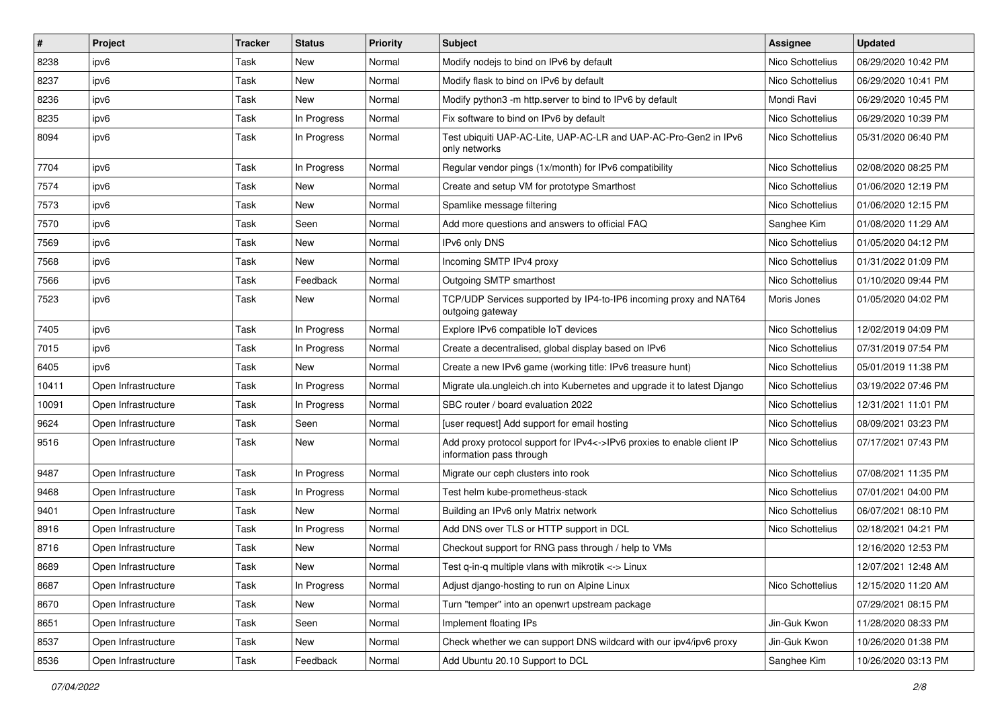| $\vert$ # | Project             | <b>Tracker</b> | <b>Status</b> | <b>Priority</b> | Subject                                                                                            | <b>Assignee</b>  | <b>Updated</b>      |
|-----------|---------------------|----------------|---------------|-----------------|----------------------------------------------------------------------------------------------------|------------------|---------------------|
| 8238      | ipv6                | Task           | New           | Normal          | Modify nodejs to bind on IPv6 by default                                                           | Nico Schottelius | 06/29/2020 10:42 PM |
| 8237      | ipv6                | Task           | New           | Normal          | Modify flask to bind on IPv6 by default                                                            | Nico Schottelius | 06/29/2020 10:41 PM |
| 8236      | ipv6                | Task           | New           | Normal          | Modify python3 -m http.server to bind to IPv6 by default                                           | Mondi Ravi       | 06/29/2020 10:45 PM |
| 8235      | ipv6                | Task           | In Progress   | Normal          | Fix software to bind on IPv6 by default                                                            | Nico Schottelius | 06/29/2020 10:39 PM |
| 8094      | ipv6                | Task           | In Progress   | Normal          | Test ubiquiti UAP-AC-Lite, UAP-AC-LR and UAP-AC-Pro-Gen2 in IPv6<br>only networks                  | Nico Schottelius | 05/31/2020 06:40 PM |
| 7704      | ipv6                | Task           | In Progress   | Normal          | Regular vendor pings (1x/month) for IPv6 compatibility                                             | Nico Schottelius | 02/08/2020 08:25 PM |
| 7574      | ipv6                | Task           | <b>New</b>    | Normal          | Create and setup VM for prototype Smarthost                                                        | Nico Schottelius | 01/06/2020 12:19 PM |
| 7573      | ipv6                | Task           | New           | Normal          | Spamlike message filtering                                                                         | Nico Schottelius | 01/06/2020 12:15 PM |
| 7570      | ipv6                | Task           | Seen          | Normal          | Add more questions and answers to official FAQ                                                     | Sanghee Kim      | 01/08/2020 11:29 AM |
| 7569      | ipv6                | Task           | New           | Normal          | IPv6 only DNS                                                                                      | Nico Schottelius | 01/05/2020 04:12 PM |
| 7568      | ipv6                | Task           | <b>New</b>    | Normal          | Incoming SMTP IPv4 proxy                                                                           | Nico Schottelius | 01/31/2022 01:09 PM |
| 7566      | ipv6                | Task           | Feedback      | Normal          | Outgoing SMTP smarthost                                                                            | Nico Schottelius | 01/10/2020 09:44 PM |
| 7523      | ipv6                | Task           | New           | Normal          | TCP/UDP Services supported by IP4-to-IP6 incoming proxy and NAT64<br>outgoing gateway              | Moris Jones      | 01/05/2020 04:02 PM |
| 7405      | ipv6                | Task           | In Progress   | Normal          | Explore IPv6 compatible IoT devices                                                                | Nico Schottelius | 12/02/2019 04:09 PM |
| 7015      | ipv6                | Task           | In Progress   | Normal          | Create a decentralised, global display based on IPv6                                               | Nico Schottelius | 07/31/2019 07:54 PM |
| 6405      | ipv6                | Task           | <b>New</b>    | Normal          | Create a new IPv6 game (working title: IPv6 treasure hunt)                                         | Nico Schottelius | 05/01/2019 11:38 PM |
| 10411     | Open Infrastructure | Task           | In Progress   | Normal          | Migrate ula.ungleich.ch into Kubernetes and upgrade it to latest Django                            | Nico Schottelius | 03/19/2022 07:46 PM |
| 10091     | Open Infrastructure | Task           | In Progress   | Normal          | SBC router / board evaluation 2022                                                                 | Nico Schottelius | 12/31/2021 11:01 PM |
| 9624      | Open Infrastructure | Task           | Seen          | Normal          | [user request] Add support for email hosting                                                       | Nico Schottelius | 08/09/2021 03:23 PM |
| 9516      | Open Infrastructure | Task           | New           | Normal          | Add proxy protocol support for IPv4<->IPv6 proxies to enable client IP<br>information pass through | Nico Schottelius | 07/17/2021 07:43 PM |
| 9487      | Open Infrastructure | Task           | In Progress   | Normal          | Migrate our ceph clusters into rook                                                                | Nico Schottelius | 07/08/2021 11:35 PM |
| 9468      | Open Infrastructure | Task           | In Progress   | Normal          | Test helm kube-prometheus-stack                                                                    | Nico Schottelius | 07/01/2021 04:00 PM |
| 9401      | Open Infrastructure | Task           | <b>New</b>    | Normal          | Building an IPv6 only Matrix network                                                               | Nico Schottelius | 06/07/2021 08:10 PM |
| 8916      | Open Infrastructure | Task           | In Progress   | Normal          | Add DNS over TLS or HTTP support in DCL                                                            | Nico Schottelius | 02/18/2021 04:21 PM |
| 8716      | Open Infrastructure | Task           | New           | Normal          | Checkout support for RNG pass through / help to VMs                                                |                  | 12/16/2020 12:53 PM |
| 8689      | Open Infrastructure | Task           | New           | Normal          | Test q-in-q multiple vlans with mikrotik <-> Linux                                                 |                  | 12/07/2021 12:48 AM |
| 8687      | Open Infrastructure | Task           | In Progress   | Normal          | Adjust django-hosting to run on Alpine Linux                                                       | Nico Schottelius | 12/15/2020 11:20 AM |
| 8670      | Open Infrastructure | Task           | New           | Normal          | Turn "temper" into an openwrt upstream package                                                     |                  | 07/29/2021 08:15 PM |
| 8651      | Open Infrastructure | Task           | Seen          | Normal          | Implement floating IPs                                                                             | Jin-Guk Kwon     | 11/28/2020 08:33 PM |
| 8537      | Open Infrastructure | Task           | New           | Normal          | Check whether we can support DNS wildcard with our ipv4/ipv6 proxy                                 | Jin-Guk Kwon     | 10/26/2020 01:38 PM |
| 8536      | Open Infrastructure | Task           | Feedback      | Normal          | Add Ubuntu 20.10 Support to DCL                                                                    | Sanghee Kim      | 10/26/2020 03:13 PM |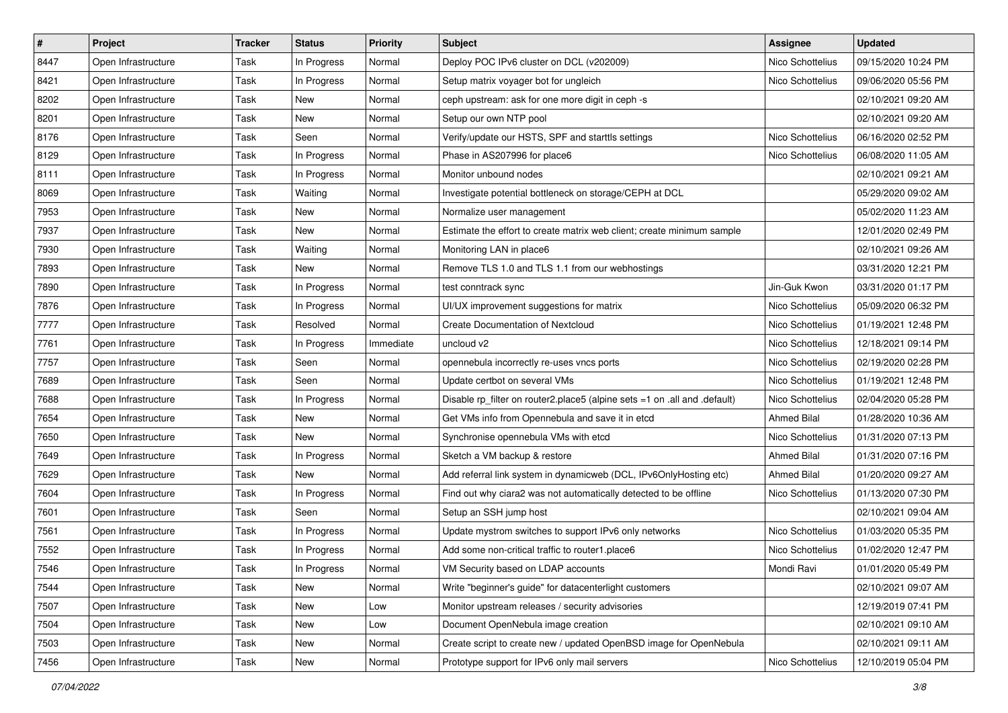| $\vert$ # | Project             | <b>Tracker</b> | <b>Status</b> | <b>Priority</b> | <b>Subject</b>                                                            | <b>Assignee</b>    | <b>Updated</b>      |
|-----------|---------------------|----------------|---------------|-----------------|---------------------------------------------------------------------------|--------------------|---------------------|
| 8447      | Open Infrastructure | Task           | In Progress   | Normal          | Deploy POC IPv6 cluster on DCL (v202009)                                  | Nico Schottelius   | 09/15/2020 10:24 PM |
| 8421      | Open Infrastructure | Task           | In Progress   | Normal          | Setup matrix voyager bot for ungleich                                     | Nico Schottelius   | 09/06/2020 05:56 PM |
| 8202      | Open Infrastructure | Task           | New           | Normal          | ceph upstream: ask for one more digit in ceph -s                          |                    | 02/10/2021 09:20 AM |
| 8201      | Open Infrastructure | Task           | New           | Normal          | Setup our own NTP pool                                                    |                    | 02/10/2021 09:20 AM |
| 8176      | Open Infrastructure | Task           | Seen          | Normal          | Verify/update our HSTS, SPF and starttls settings                         | Nico Schottelius   | 06/16/2020 02:52 PM |
| 8129      | Open Infrastructure | Task           | In Progress   | Normal          | Phase in AS207996 for place6                                              | Nico Schottelius   | 06/08/2020 11:05 AM |
| 8111      | Open Infrastructure | Task           | In Progress   | Normal          | Monitor unbound nodes                                                     |                    | 02/10/2021 09:21 AM |
| 8069      | Open Infrastructure | Task           | Waiting       | Normal          | Investigate potential bottleneck on storage/CEPH at DCL                   |                    | 05/29/2020 09:02 AM |
| 7953      | Open Infrastructure | Task           | New           | Normal          | Normalize user management                                                 |                    | 05/02/2020 11:23 AM |
| 7937      | Open Infrastructure | Task           | New           | Normal          | Estimate the effort to create matrix web client; create minimum sample    |                    | 12/01/2020 02:49 PM |
| 7930      | Open Infrastructure | Task           | Waiting       | Normal          | Monitoring LAN in place6                                                  |                    | 02/10/2021 09:26 AM |
| 7893      | Open Infrastructure | Task           | New           | Normal          | Remove TLS 1.0 and TLS 1.1 from our webhostings                           |                    | 03/31/2020 12:21 PM |
| 7890      | Open Infrastructure | Task           | In Progress   | Normal          | test conntrack sync                                                       | Jin-Guk Kwon       | 03/31/2020 01:17 PM |
| 7876      | Open Infrastructure | Task           | In Progress   | Normal          | UI/UX improvement suggestions for matrix                                  | Nico Schottelius   | 05/09/2020 06:32 PM |
| 7777      | Open Infrastructure | Task           | Resolved      | Normal          | <b>Create Documentation of Nextcloud</b>                                  | Nico Schottelius   | 01/19/2021 12:48 PM |
| 7761      | Open Infrastructure | Task           | In Progress   | Immediate       | uncloud v2                                                                | Nico Schottelius   | 12/18/2021 09:14 PM |
| 7757      | Open Infrastructure | Task           | Seen          | Normal          | opennebula incorrectly re-uses vncs ports                                 | Nico Schottelius   | 02/19/2020 02:28 PM |
| 7689      | Open Infrastructure | Task           | Seen          | Normal          | Update certbot on several VMs                                             | Nico Schottelius   | 01/19/2021 12:48 PM |
| 7688      | Open Infrastructure | Task           | In Progress   | Normal          | Disable rp_filter on router2.place5 (alpine sets =1 on .all and .default) | Nico Schottelius   | 02/04/2020 05:28 PM |
| 7654      | Open Infrastructure | Task           | New           | Normal          | Get VMs info from Opennebula and save it in etcd                          | <b>Ahmed Bilal</b> | 01/28/2020 10:36 AM |
| 7650      | Open Infrastructure | Task           | New           | Normal          | Synchronise opennebula VMs with etcd                                      | Nico Schottelius   | 01/31/2020 07:13 PM |
| 7649      | Open Infrastructure | Task           | In Progress   | Normal          | Sketch a VM backup & restore                                              | Ahmed Bilal        | 01/31/2020 07:16 PM |
| 7629      | Open Infrastructure | Task           | New           | Normal          | Add referral link system in dynamicweb (DCL, IPv6OnlyHosting etc)         | Ahmed Bilal        | 01/20/2020 09:27 AM |
| 7604      | Open Infrastructure | Task           | In Progress   | Normal          | Find out why ciara2 was not automatically detected to be offline          | Nico Schottelius   | 01/13/2020 07:30 PM |
| 7601      | Open Infrastructure | Task           | Seen          | Normal          | Setup an SSH jump host                                                    |                    | 02/10/2021 09:04 AM |
| 7561      | Open Infrastructure | Task           | In Progress   | Normal          | Update mystrom switches to support IPv6 only networks                     | Nico Schottelius   | 01/03/2020 05:35 PM |
| 7552      | Open Infrastructure | Task           | In Progress   | Normal          | Add some non-critical traffic to router1.place6                           | Nico Schottelius   | 01/02/2020 12:47 PM |
| 7546      | Open Infrastructure | Task           | In Progress   | Normal          | VM Security based on LDAP accounts                                        | Mondi Ravi         | 01/01/2020 05:49 PM |
| 7544      | Open Infrastructure | Task           | New           | Normal          | Write "beginner's guide" for datacenterlight customers                    |                    | 02/10/2021 09:07 AM |
| 7507      | Open Infrastructure | Task           | New           | Low             | Monitor upstream releases / security advisories                           |                    | 12/19/2019 07:41 PM |
| 7504      | Open Infrastructure | Task           | New           | Low             | Document OpenNebula image creation                                        |                    | 02/10/2021 09:10 AM |
| 7503      | Open Infrastructure | Task           | New           | Normal          | Create script to create new / updated OpenBSD image for OpenNebula        |                    | 02/10/2021 09:11 AM |
| 7456      | Open Infrastructure | Task           | New           | Normal          | Prototype support for IPv6 only mail servers                              | Nico Schottelius   | 12/10/2019 05:04 PM |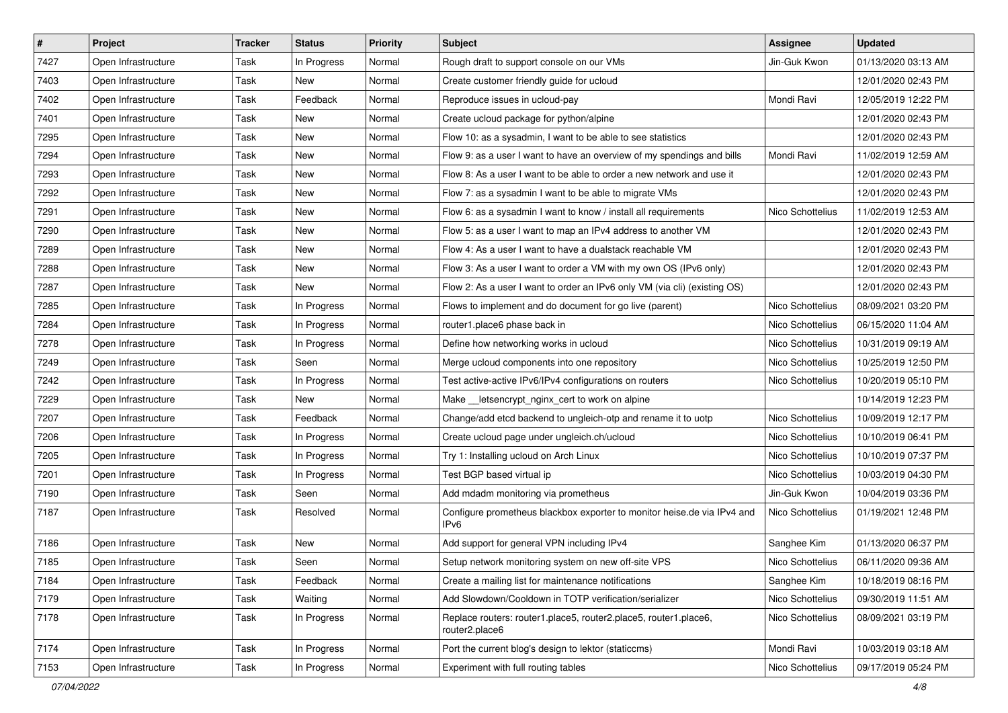| $\vert$ # | Project             | <b>Tracker</b> | <b>Status</b> | <b>Priority</b> | Subject                                                                            | <b>Assignee</b>  | <b>Updated</b>      |
|-----------|---------------------|----------------|---------------|-----------------|------------------------------------------------------------------------------------|------------------|---------------------|
| 7427      | Open Infrastructure | Task           | In Progress   | Normal          | Rough draft to support console on our VMs                                          | Jin-Guk Kwon     | 01/13/2020 03:13 AM |
| 7403      | Open Infrastructure | Task           | New           | Normal          | Create customer friendly guide for ucloud                                          |                  | 12/01/2020 02:43 PM |
| 7402      | Open Infrastructure | Task           | Feedback      | Normal          | Reproduce issues in ucloud-pay                                                     | Mondi Ravi       | 12/05/2019 12:22 PM |
| 7401      | Open Infrastructure | Task           | New           | Normal          | Create ucloud package for python/alpine                                            |                  | 12/01/2020 02:43 PM |
| 7295      | Open Infrastructure | Task           | New           | Normal          | Flow 10: as a sysadmin, I want to be able to see statistics                        |                  | 12/01/2020 02:43 PM |
| 7294      | Open Infrastructure | Task           | New           | Normal          | Flow 9: as a user I want to have an overview of my spendings and bills             | Mondi Ravi       | 11/02/2019 12:59 AM |
| 7293      | Open Infrastructure | Task           | New           | Normal          | Flow 8: As a user I want to be able to order a new network and use it              |                  | 12/01/2020 02:43 PM |
| 7292      | Open Infrastructure | Task           | New           | Normal          | Flow 7: as a sysadmin I want to be able to migrate VMs                             |                  | 12/01/2020 02:43 PM |
| 7291      | Open Infrastructure | Task           | New           | Normal          | Flow 6: as a sysadmin I want to know / install all requirements                    | Nico Schottelius | 11/02/2019 12:53 AM |
| 7290      | Open Infrastructure | Task           | New           | Normal          | Flow 5: as a user I want to map an IPv4 address to another VM                      |                  | 12/01/2020 02:43 PM |
| 7289      | Open Infrastructure | Task           | New           | Normal          | Flow 4: As a user I want to have a dualstack reachable VM                          |                  | 12/01/2020 02:43 PM |
| 7288      | Open Infrastructure | Task           | New           | Normal          | Flow 3: As a user I want to order a VM with my own OS (IPv6 only)                  |                  | 12/01/2020 02:43 PM |
| 7287      | Open Infrastructure | Task           | New           | Normal          | Flow 2: As a user I want to order an IPv6 only VM (via cli) (existing OS)          |                  | 12/01/2020 02:43 PM |
| 7285      | Open Infrastructure | Task           | In Progress   | Normal          | Flows to implement and do document for go live (parent)                            | Nico Schottelius | 08/09/2021 03:20 PM |
| 7284      | Open Infrastructure | Task           | In Progress   | Normal          | router1.place6 phase back in                                                       | Nico Schottelius | 06/15/2020 11:04 AM |
| 7278      | Open Infrastructure | Task           | In Progress   | Normal          | Define how networking works in ucloud                                              | Nico Schottelius | 10/31/2019 09:19 AM |
| 7249      | Open Infrastructure | Task           | Seen          | Normal          | Merge ucloud components into one repository                                        | Nico Schottelius | 10/25/2019 12:50 PM |
| 7242      | Open Infrastructure | Task           | In Progress   | Normal          | Test active-active IPv6/IPv4 configurations on routers                             | Nico Schottelius | 10/20/2019 05:10 PM |
| 7229      | Open Infrastructure | Task           | New           | Normal          | Make __ letsencrypt_nginx_cert to work on alpine                                   |                  | 10/14/2019 12:23 PM |
| 7207      | Open Infrastructure | Task           | Feedback      | Normal          | Change/add etcd backend to ungleich-otp and rename it to uotp                      | Nico Schottelius | 10/09/2019 12:17 PM |
| 7206      | Open Infrastructure | Task           | In Progress   | Normal          | Create ucloud page under ungleich.ch/ucloud                                        | Nico Schottelius | 10/10/2019 06:41 PM |
| 7205      | Open Infrastructure | Task           | In Progress   | Normal          | Try 1: Installing ucloud on Arch Linux                                             | Nico Schottelius | 10/10/2019 07:37 PM |
| 7201      | Open Infrastructure | Task           | In Progress   | Normal          | Test BGP based virtual ip                                                          | Nico Schottelius | 10/03/2019 04:30 PM |
| 7190      | Open Infrastructure | Task           | Seen          | Normal          | Add mdadm monitoring via prometheus                                                | Jin-Guk Kwon     | 10/04/2019 03:36 PM |
| 7187      | Open Infrastructure | Task           | Resolved      | Normal          | Configure prometheus blackbox exporter to monitor heise.de via IPv4 and<br>IPv6    | Nico Schottelius | 01/19/2021 12:48 PM |
| 7186      | Open Infrastructure | Task           | New           | Normal          | Add support for general VPN including IPv4                                         | Sanghee Kim      | 01/13/2020 06:37 PM |
| 7185      | Open Infrastructure | Task           | Seen          | Normal          | Setup network monitoring system on new off-site VPS                                | Nico Schottelius | 06/11/2020 09:36 AM |
| 7184      | Open Infrastructure | Task           | Feedback      | Normal          | Create a mailing list for maintenance notifications                                | Sanghee Kim      | 10/18/2019 08:16 PM |
| 7179      | Open Infrastructure | Task           | Waiting       | Normal          | Add Slowdown/Cooldown in TOTP verification/serializer                              | Nico Schottelius | 09/30/2019 11:51 AM |
| 7178      | Open Infrastructure | Task           | In Progress   | Normal          | Replace routers: router1.place5, router2.place5, router1.place6,<br>router2.place6 | Nico Schottelius | 08/09/2021 03:19 PM |
| 7174      | Open Infrastructure | Task           | In Progress   | Normal          | Port the current blog's design to lektor (staticcms)                               | Mondi Ravi       | 10/03/2019 03:18 AM |
| 7153      | Open Infrastructure | Task           | In Progress   | Normal          | Experiment with full routing tables                                                | Nico Schottelius | 09/17/2019 05:24 PM |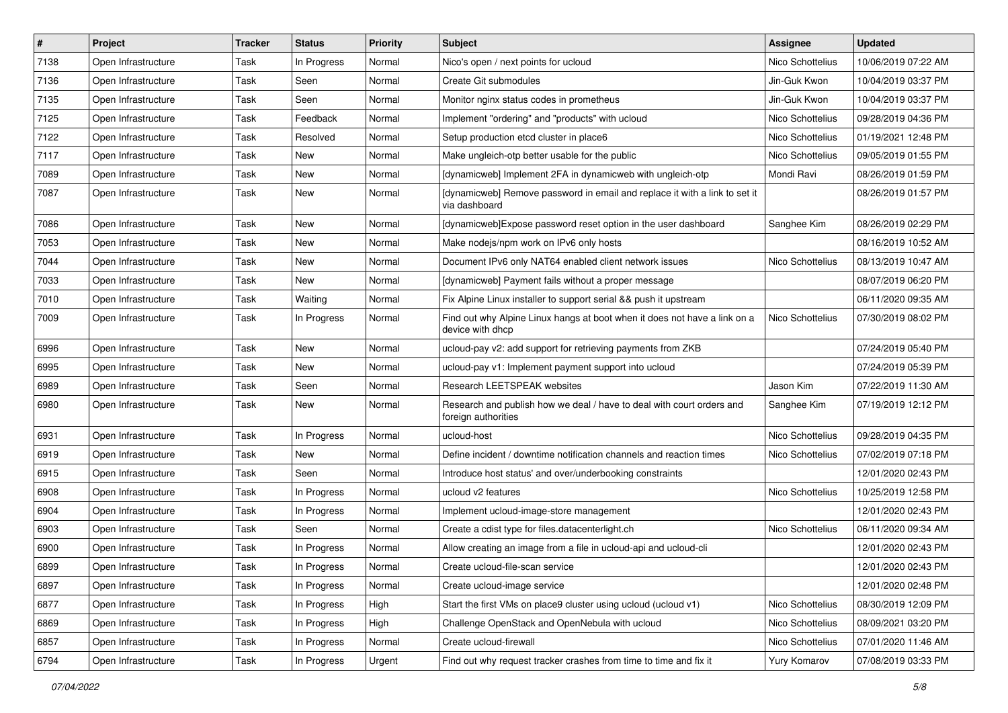| $\vert$ # | Project             | <b>Tracker</b> | <b>Status</b> | <b>Priority</b> | Subject                                                                                       | <b>Assignee</b>  | <b>Updated</b>      |
|-----------|---------------------|----------------|---------------|-----------------|-----------------------------------------------------------------------------------------------|------------------|---------------------|
| 7138      | Open Infrastructure | Task           | In Progress   | Normal          | Nico's open / next points for ucloud                                                          | Nico Schottelius | 10/06/2019 07:22 AM |
| 7136      | Open Infrastructure | Task           | Seen          | Normal          | Create Git submodules                                                                         | Jin-Guk Kwon     | 10/04/2019 03:37 PM |
| 7135      | Open Infrastructure | Task           | Seen          | Normal          | Monitor nginx status codes in prometheus                                                      | Jin-Guk Kwon     | 10/04/2019 03:37 PM |
| 7125      | Open Infrastructure | Task           | Feedback      | Normal          | Implement "ordering" and "products" with ucloud                                               | Nico Schottelius | 09/28/2019 04:36 PM |
| 7122      | Open Infrastructure | Task           | Resolved      | Normal          | Setup production etcd cluster in place6                                                       | Nico Schottelius | 01/19/2021 12:48 PM |
| 7117      | Open Infrastructure | Task           | New           | Normal          | Make ungleich-otp better usable for the public                                                | Nico Schottelius | 09/05/2019 01:55 PM |
| 7089      | Open Infrastructure | Task           | New           | Normal          | [dynamicweb] Implement 2FA in dynamicweb with ungleich-otp                                    | Mondi Ravi       | 08/26/2019 01:59 PM |
| 7087      | Open Infrastructure | Task           | New           | Normal          | [dynamicweb] Remove password in email and replace it with a link to set it<br>via dashboard   |                  | 08/26/2019 01:57 PM |
| 7086      | Open Infrastructure | Task           | <b>New</b>    | Normal          | [dynamicweb]Expose password reset option in the user dashboard                                | Sanghee Kim      | 08/26/2019 02:29 PM |
| 7053      | Open Infrastructure | Task           | New           | Normal          | Make nodejs/npm work on IPv6 only hosts                                                       |                  | 08/16/2019 10:52 AM |
| 7044      | Open Infrastructure | Task           | New           | Normal          | Document IPv6 only NAT64 enabled client network issues                                        | Nico Schottelius | 08/13/2019 10:47 AM |
| 7033      | Open Infrastructure | Task           | New           | Normal          | [dynamicweb] Payment fails without a proper message                                           |                  | 08/07/2019 06:20 PM |
| 7010      | Open Infrastructure | Task           | Waiting       | Normal          | Fix Alpine Linux installer to support serial && push it upstream                              |                  | 06/11/2020 09:35 AM |
| 7009      | Open Infrastructure | Task           | In Progress   | Normal          | Find out why Alpine Linux hangs at boot when it does not have a link on a<br>device with dhcp | Nico Schottelius | 07/30/2019 08:02 PM |
| 6996      | Open Infrastructure | Task           | New           | Normal          | ucloud-pay v2: add support for retrieving payments from ZKB                                   |                  | 07/24/2019 05:40 PM |
| 6995      | Open Infrastructure | Task           | New           | Normal          | ucloud-pay v1: Implement payment support into ucloud                                          |                  | 07/24/2019 05:39 PM |
| 6989      | Open Infrastructure | Task           | Seen          | Normal          | Research LEETSPEAK websites                                                                   | Jason Kim        | 07/22/2019 11:30 AM |
| 6980      | Open Infrastructure | Task           | New           | Normal          | Research and publish how we deal / have to deal with court orders and<br>foreign authorities  | Sanghee Kim      | 07/19/2019 12:12 PM |
| 6931      | Open Infrastructure | Task           | In Progress   | Normal          | ucloud-host                                                                                   | Nico Schottelius | 09/28/2019 04:35 PM |
| 6919      | Open Infrastructure | Task           | New           | Normal          | Define incident / downtime notification channels and reaction times                           | Nico Schottelius | 07/02/2019 07:18 PM |
| 6915      | Open Infrastructure | Task           | Seen          | Normal          | Introduce host status' and over/underbooking constraints                                      |                  | 12/01/2020 02:43 PM |
| 6908      | Open Infrastructure | Task           | In Progress   | Normal          | ucloud v2 features                                                                            | Nico Schottelius | 10/25/2019 12:58 PM |
| 6904      | Open Infrastructure | Task           | In Progress   | Normal          | Implement ucloud-image-store management                                                       |                  | 12/01/2020 02:43 PM |
| 6903      | Open Infrastructure | Task           | Seen          | Normal          | Create a cdist type for files.datacenterlight.ch                                              | Nico Schottelius | 06/11/2020 09:34 AM |
| 6900      | Open Infrastructure | Task           | In Progress   | Normal          | Allow creating an image from a file in ucloud-api and ucloud-cli                              |                  | 12/01/2020 02:43 PM |
| 6899      | Open Infrastructure | Task           | In Progress   | Normal          | Create ucloud-file-scan service                                                               |                  | 12/01/2020 02:43 PM |
| 6897      | Open Infrastructure | Task           | In Progress   | Normal          | Create ucloud-image service                                                                   |                  | 12/01/2020 02:48 PM |
| 6877      | Open Infrastructure | Task           | In Progress   | High            | Start the first VMs on place9 cluster using ucloud (ucloud v1)                                | Nico Schottelius | 08/30/2019 12:09 PM |
| 6869      | Open Infrastructure | Task           | In Progress   | High            | Challenge OpenStack and OpenNebula with ucloud                                                | Nico Schottelius | 08/09/2021 03:20 PM |
| 6857      | Open Infrastructure | Task           | In Progress   | Normal          | Create ucloud-firewall                                                                        | Nico Schottelius | 07/01/2020 11:46 AM |
| 6794      | Open Infrastructure | Task           | In Progress   | Urgent          | Find out why request tracker crashes from time to time and fix it                             | Yury Komarov     | 07/08/2019 03:33 PM |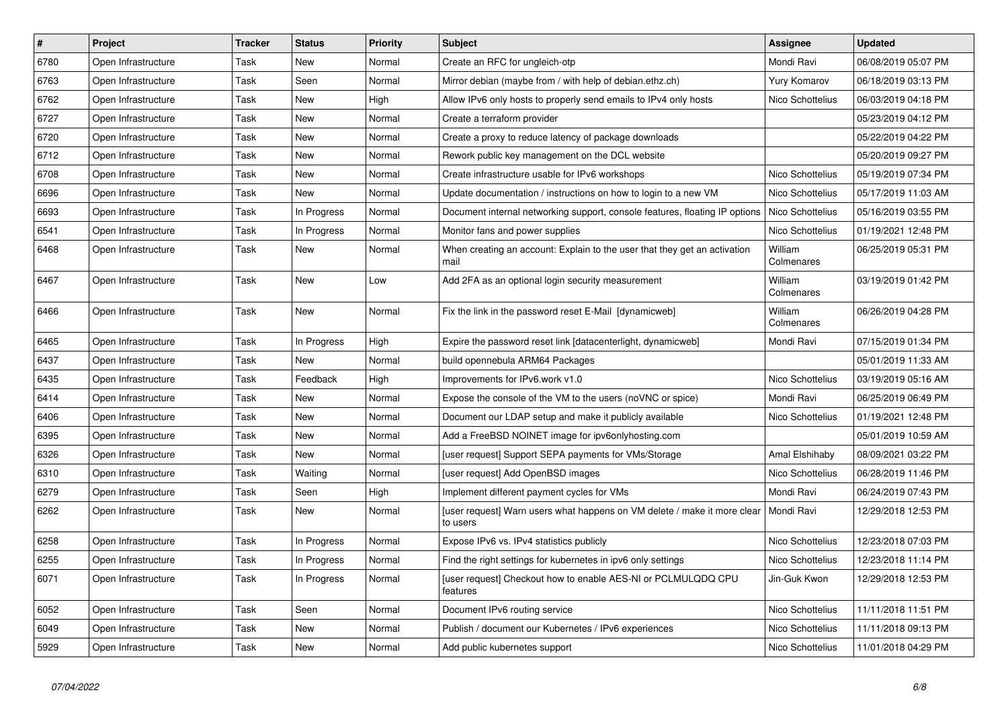| $\sharp$ | Project             | <b>Tracker</b> | <b>Status</b> | <b>Priority</b> | <b>Subject</b>                                                                       | Assignee              | <b>Updated</b>      |
|----------|---------------------|----------------|---------------|-----------------|--------------------------------------------------------------------------------------|-----------------------|---------------------|
| 6780     | Open Infrastructure | Task           | New           | Normal          | Create an RFC for ungleich-otp                                                       | Mondi Ravi            | 06/08/2019 05:07 PM |
| 6763     | Open Infrastructure | Task           | Seen          | Normal          | Mirror debian (maybe from / with help of debian.ethz.ch)                             | Yury Komarov          | 06/18/2019 03:13 PM |
| 6762     | Open Infrastructure | Task           | New           | High            | Allow IPv6 only hosts to properly send emails to IPv4 only hosts                     | Nico Schottelius      | 06/03/2019 04:18 PM |
| 6727     | Open Infrastructure | Task           | New           | Normal          | Create a terraform provider                                                          |                       | 05/23/2019 04:12 PM |
| 6720     | Open Infrastructure | Task           | New           | Normal          | Create a proxy to reduce latency of package downloads                                |                       | 05/22/2019 04:22 PM |
| 6712     | Open Infrastructure | Task           | New           | Normal          | Rework public key management on the DCL website                                      |                       | 05/20/2019 09:27 PM |
| 6708     | Open Infrastructure | Task           | New           | Normal          | Create infrastructure usable for IPv6 workshops                                      | Nico Schottelius      | 05/19/2019 07:34 PM |
| 6696     | Open Infrastructure | Task           | <b>New</b>    | Normal          | Update documentation / instructions on how to login to a new VM                      | Nico Schottelius      | 05/17/2019 11:03 AM |
| 6693     | Open Infrastructure | Task           | In Progress   | Normal          | Document internal networking support, console features, floating IP options          | Nico Schottelius      | 05/16/2019 03:55 PM |
| 6541     | Open Infrastructure | Task           | In Progress   | Normal          | Monitor fans and power supplies                                                      | Nico Schottelius      | 01/19/2021 12:48 PM |
| 6468     | Open Infrastructure | Task           | New           | Normal          | When creating an account: Explain to the user that they get an activation<br>mail    | William<br>Colmenares | 06/25/2019 05:31 PM |
| 6467     | Open Infrastructure | Task           | New           | Low             | Add 2FA as an optional login security measurement                                    | William<br>Colmenares | 03/19/2019 01:42 PM |
| 6466     | Open Infrastructure | Task           | New           | Normal          | Fix the link in the password reset E-Mail [dynamicweb]                               | William<br>Colmenares | 06/26/2019 04:28 PM |
| 6465     | Open Infrastructure | Task           | In Progress   | High            | Expire the password reset link [datacenterlight, dynamicweb]                         | Mondi Ravi            | 07/15/2019 01:34 PM |
| 6437     | Open Infrastructure | Task           | New           | Normal          | build opennebula ARM64 Packages                                                      |                       | 05/01/2019 11:33 AM |
| 6435     | Open Infrastructure | Task           | Feedback      | High            | Improvements for IPv6.work v1.0                                                      | Nico Schottelius      | 03/19/2019 05:16 AM |
| 6414     | Open Infrastructure | Task           | New           | Normal          | Expose the console of the VM to the users (noVNC or spice)                           | Mondi Ravi            | 06/25/2019 06:49 PM |
| 6406     | Open Infrastructure | Task           | New           | Normal          | Document our LDAP setup and make it publicly available                               | Nico Schottelius      | 01/19/2021 12:48 PM |
| 6395     | Open Infrastructure | Task           | New           | Normal          | Add a FreeBSD NOINET image for ipv6onlyhosting.com                                   |                       | 05/01/2019 10:59 AM |
| 6326     | Open Infrastructure | Task           | New           | Normal          | [user request] Support SEPA payments for VMs/Storage                                 | Amal Elshihaby        | 08/09/2021 03:22 PM |
| 6310     | Open Infrastructure | Task           | Waiting       | Normal          | [user request] Add OpenBSD images                                                    | Nico Schottelius      | 06/28/2019 11:46 PM |
| 6279     | Open Infrastructure | Task           | Seen          | High            | Implement different payment cycles for VMs                                           | Mondi Ravi            | 06/24/2019 07:43 PM |
| 6262     | Open Infrastructure | Task           | New           | Normal          | [user request] Warn users what happens on VM delete / make it more clear<br>to users | Mondi Ravi            | 12/29/2018 12:53 PM |
| 6258     | Open Infrastructure | Task           | In Progress   | Normal          | Expose IPv6 vs. IPv4 statistics publicly                                             | Nico Schottelius      | 12/23/2018 07:03 PM |
| 6255     | Open Infrastructure | Task           | In Progress   | Normal          | Find the right settings for kubernetes in ipv6 only settings                         | Nico Schottelius      | 12/23/2018 11:14 PM |
| 6071     | Open Infrastructure | Task           | In Progress   | Normal          | [user request] Checkout how to enable AES-NI or PCLMULQDQ CPU<br>features            | Jin-Guk Kwon          | 12/29/2018 12:53 PM |
| 6052     | Open Infrastructure | Task           | Seen          | Normal          | Document IPv6 routing service                                                        | Nico Schottelius      | 11/11/2018 11:51 PM |
| 6049     | Open Infrastructure | Task           | New           | Normal          | Publish / document our Kubernetes / IPv6 experiences                                 | Nico Schottelius      | 11/11/2018 09:13 PM |
| 5929     | Open Infrastructure | Task           | New           | Normal          | Add public kubernetes support                                                        | Nico Schottelius      | 11/01/2018 04:29 PM |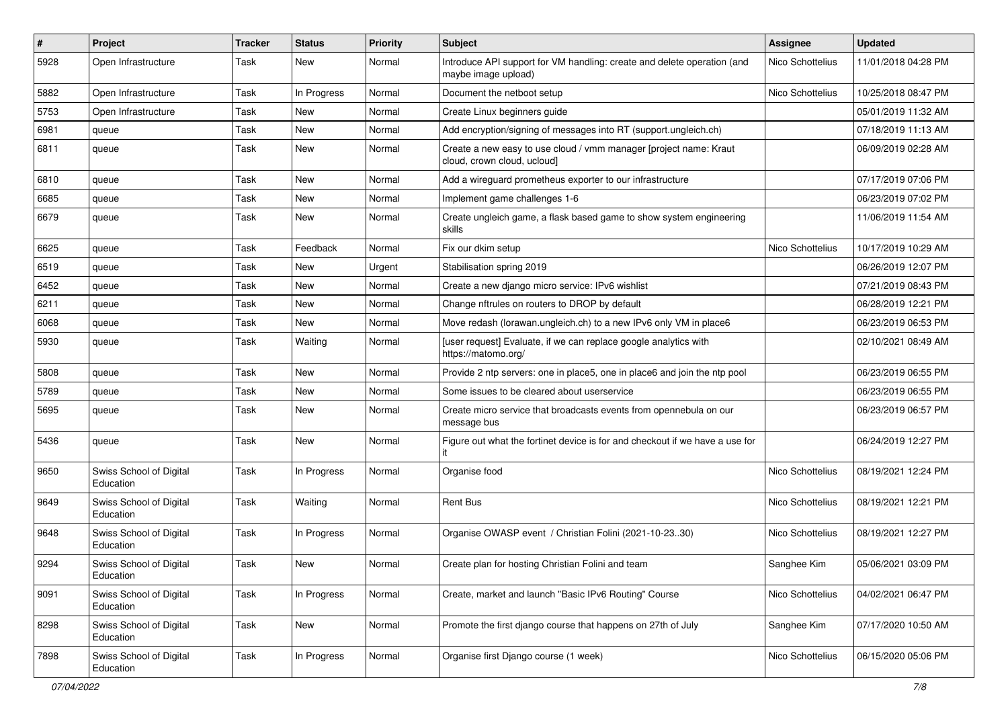| #    | Project                              | Tracker | <b>Status</b> | <b>Priority</b> | Subject                                                                                          | <b>Assignee</b>  | <b>Updated</b>      |
|------|--------------------------------------|---------|---------------|-----------------|--------------------------------------------------------------------------------------------------|------------------|---------------------|
| 5928 | Open Infrastructure                  | Task    | New           | Normal          | Introduce API support for VM handling: create and delete operation (and<br>maybe image upload)   | Nico Schottelius | 11/01/2018 04:28 PM |
| 5882 | Open Infrastructure                  | Task    | In Progress   | Normal          | Document the netboot setup                                                                       | Nico Schottelius | 10/25/2018 08:47 PM |
| 5753 | Open Infrastructure                  | Task    | <b>New</b>    | Normal          | Create Linux beginners guide                                                                     |                  | 05/01/2019 11:32 AM |
| 6981 | queue                                | Task    | <b>New</b>    | Normal          | Add encryption/signing of messages into RT (support.ungleich.ch)                                 |                  | 07/18/2019 11:13 AM |
| 6811 | queue                                | Task    | New           | Normal          | Create a new easy to use cloud / vmm manager [project name: Kraut<br>cloud, crown cloud, ucloud] |                  | 06/09/2019 02:28 AM |
| 6810 | queue                                | Task    | <b>New</b>    | Normal          | Add a wireguard prometheus exporter to our infrastructure                                        |                  | 07/17/2019 07:06 PM |
| 6685 | queue                                | Task    | <b>New</b>    | Normal          | Implement game challenges 1-6                                                                    |                  | 06/23/2019 07:02 PM |
| 6679 | queue                                | Task    | New           | Normal          | Create ungleich game, a flask based game to show system engineering<br>skills                    |                  | 11/06/2019 11:54 AM |
| 6625 | queue                                | Task    | Feedback      | Normal          | Fix our dkim setup                                                                               | Nico Schottelius | 10/17/2019 10:29 AM |
| 6519 | queue                                | Task    | <b>New</b>    | Urgent          | Stabilisation spring 2019                                                                        |                  | 06/26/2019 12:07 PM |
| 6452 | queue                                | Task    | New           | Normal          | Create a new django micro service: IPv6 wishlist                                                 |                  | 07/21/2019 08:43 PM |
| 6211 | queue                                | Task    | <b>New</b>    | Normal          | Change nftrules on routers to DROP by default                                                    |                  | 06/28/2019 12:21 PM |
| 6068 | queue                                | Task    | <b>New</b>    | Normal          | Move redash (lorawan.ungleich.ch) to a new IPv6 only VM in place6                                |                  | 06/23/2019 06:53 PM |
| 5930 | queue                                | Task    | Waiting       | Normal          | [user request] Evaluate, if we can replace google analytics with<br>https://matomo.org/          |                  | 02/10/2021 08:49 AM |
| 5808 | queue                                | Task    | New           | Normal          | Provide 2 ntp servers: one in place5, one in place6 and join the ntp pool                        |                  | 06/23/2019 06:55 PM |
| 5789 | queue                                | Task    | <b>New</b>    | Normal          | Some issues to be cleared about userservice                                                      |                  | 06/23/2019 06:55 PM |
| 5695 | queue                                | Task    | <b>New</b>    | Normal          | Create micro service that broadcasts events from opennebula on our<br>message bus                |                  | 06/23/2019 06:57 PM |
| 5436 | queue                                | Task    | New           | Normal          | Figure out what the fortinet device is for and checkout if we have a use for<br>it               |                  | 06/24/2019 12:27 PM |
| 9650 | Swiss School of Digital<br>Education | Task    | In Progress   | Normal          | Organise food                                                                                    | Nico Schottelius | 08/19/2021 12:24 PM |
| 9649 | Swiss School of Digital<br>Education | Task    | Waiting       | Normal          | <b>Rent Bus</b>                                                                                  | Nico Schottelius | 08/19/2021 12:21 PM |
| 9648 | Swiss School of Digital<br>Education | Task    | In Progress   | Normal          | Organise OWASP event / Christian Folini (2021-10-2330)                                           | Nico Schottelius | 08/19/2021 12:27 PM |
| 9294 | Swiss School of Digital<br>Education | Task    | New           | Normal          | Create plan for hosting Christian Folini and team                                                | Sanghee Kim      | 05/06/2021 03:09 PM |
| 9091 | Swiss School of Digital<br>Education | Task    | In Progress   | Normal          | Create, market and launch "Basic IPv6 Routing" Course                                            | Nico Schottelius | 04/02/2021 06:47 PM |
| 8298 | Swiss School of Digital<br>Education | Task    | New           | Normal          | Promote the first diango course that happens on 27th of July                                     | Sanghee Kim      | 07/17/2020 10:50 AM |
| 7898 | Swiss School of Digital<br>Education | Task    | In Progress   | Normal          | Organise first Django course (1 week)                                                            | Nico Schottelius | 06/15/2020 05:06 PM |